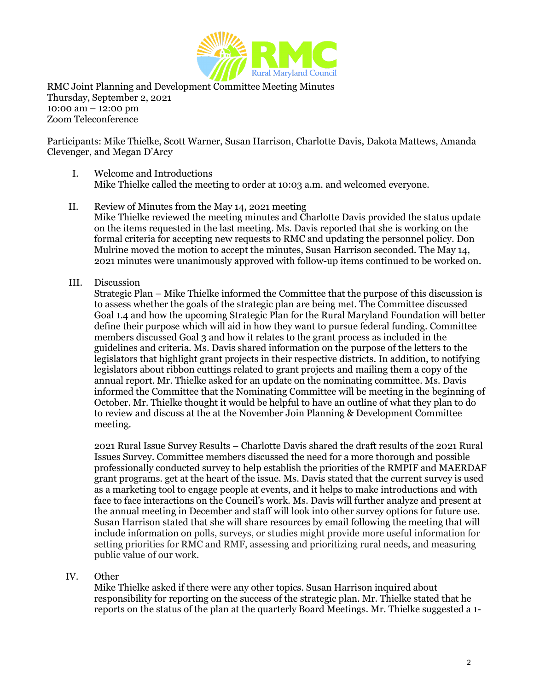

RMC Joint Planning and Development Committee Meeting Minutes Thursday, September 2, 2021 10:00 am – 12:00 pm Zoom Teleconference

Participants: Mike Thielke, Scott Warner, Susan Harrison, Charlotte Davis, Dakota Mattews, Amanda Clevenger, and Megan D'Arcy

- I. Welcome and Introductions Mike Thielke called the meeting to order at 10:03 a.m. and welcomed everyone.
- II. Review of Minutes from the May 14, 2021 meeting Mike Thielke reviewed the meeting minutes and Charlotte Davis provided the status update on the items requested in the last meeting. Ms. Davis reported that she is working on the formal criteria for accepting new requests to RMC and updating the personnel policy. Don Mulrine moved the motion to accept the minutes, Susan Harrison seconded. The May 14, 2021 minutes were unanimously approved with follow-up items continued to be worked on.
- III. Discussion

Strategic Plan – Mike Thielke informed the Committee that the purpose of this discussion is to assess whether the goals of the strategic plan are being met. The Committee discussed Goal 1.4 and how the upcoming Strategic Plan for the Rural Maryland Foundation will better define their purpose which will aid in how they want to pursue federal funding. Committee members discussed Goal 3 and how it relates to the grant process as included in the guidelines and criteria. Ms. Davis shared information on the purpose of the letters to the legislators that highlight grant projects in their respective districts. In addition, to notifying legislators about ribbon cuttings related to grant projects and mailing them a copy of the annual report. Mr. Thielke asked for an update on the nominating committee. Ms. Davis informed the Committee that the Nominating Committee will be meeting in the beginning of October. Mr. Thielke thought it would be helpful to have an outline of what they plan to do to review and discuss at the at the November Join Planning & Development Committee meeting.

2021 Rural Issue Survey Results – Charlotte Davis shared the draft results of the 2021 Rural Issues Survey. Committee members discussed the need for a more thorough and possible professionally conducted survey to help establish the priorities of the RMPIF and MAERDAF grant programs. get at the heart of the issue. Ms. Davis stated that the current survey is used as a marketing tool to engage people at events, and it helps to make introductions and with face to face interactions on the Council's work. Ms. Davis will further analyze and present at the annual meeting in December and staff will look into other survey options for future use. Susan Harrison stated that she will share resources by email following the meeting that will include information on polls, surveys, or studies might provide more useful information for setting priorities for RMC and RMF, assessing and prioritizing rural needs, and measuring public value of our work.

## IV. Other

Mike Thielke asked if there were any other topics. Susan Harrison inquired about responsibility for reporting on the success of the strategic plan. Mr. Thielke stated that he reports on the status of the plan at the quarterly Board Meetings. Mr. Thielke suggested a 1